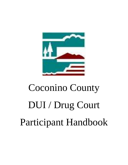

# Coconino County DUI / Drug Court Participant Handbook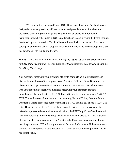Welcome to the Coconino County DUI/ Drug Court Program. This handbook is designed to answer questions, address concerns and provide information about the DUI/Drug Court Program. As a participant, you will be expected to follow the instructions given by the Judge in DUI/Drug Court and to comply with the treatment plan developed by your counselor. This handbook will detail what is expected of you as a participant and review general program information. Participants are encouraged to share this handbook with family and friends.

*You must move within a 35 mile radius of Flagstaff before you start the program. Your first day of the program will be your Change of Plea/Sentencing date scheduled with the DUI/Drug Court Judge.*

You must first meet with your probation officer to complete an intake interview and discuss the conditions of the program. Your Probation Officer is Steve Bondurant, the phone number is (928)-679-8426 and the address is 222 East Birch St. After meeting with your probation officer, you must also meet with your treatment provider immediately. They are located at 2101 N. Fourth St. and the phone number is (928)-773- 9376. You will also need to meet with your attorney, Kevin O'Brien, from the Public Defender's Office. His office number is (928)-679-7700 and his cell phone is (928)-266- 6331. His office is located at 110 E. Cherry Ave. If during referral or assessment a defendant appears to be an undocumented citizen, the DUI/Drug Court Coordinator will notify the referring Defense Attorney that if the defendant is offered a DUI/Drug Court plea and the defendant is sentenced to Probation, the Probation Department will report their illegal status to ICE or Immigrations and Customs Enforcement. If the defendant is working for an employer, Adult Probation staff will also inform the employer of his or her illegal status.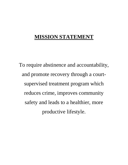# **MISSION STATEMENT**

To require abstinence and accountability, and promote recovery through a courtsupervised treatment program which reduces crime, improves community safety and leads to a healthier, more productive lifestyle.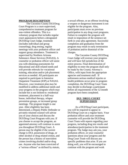#### **PROGRAM DESCRIPTION**

The Coconino County DUI/Drug Court Program is a court-supervised, comprehensive treatment program for non-violent offenders. This is a voluntary program that includes regular court appearances before a designated DUI/Drug Court Judge, treatment (includes individual and group counseling), drug testing, regular meetings with your probation officer and support group attendance. Treatment is supervised by Northern Arizona Substance Abuse Services (NASAS). A counselor or probation officer will assist you with obtaining assessments for educational and skill-related needs and will provide referrals for vocational training, education and/or job placement services as needed. All participants are required to participate in Intensive Outpatient Treatment (IOP) at NASAS. However, your treatment plan may be modified to address additional needs and your progress in the program which may include but is not limited to: residential treatment, placement in a half-way house, individual therapy, relapse prevention groups, or increased group meetings. The program length is one year. After eligibility has been determined, a Deputy Public Defender or privately retained counsel will advise you of your choices and discuss the DUI/Drug Court Program with you. If you choose to accept the program, an appointed attorney will continue to assist you throughout DUI/Drug Court. A person may be eligible if the current charge is DUI, possession of drugs, or other alcohol or drug related crimes, and the person has a history of nonviolent crimes involving alcohol and/or drug use. Anyone who has been convicted of a "serious offense" as defined by statute,

a sexual offense, or an offense involving a weapon or dangerous instrument is not eligible for the program. Also, participants must avow no previous participation in any drug court programs. Failure to complete the program will result in imposition of the sentence set forth in your plea agreement. Successful completion and graduation from the program may result in early termination of probation and/or dismissal of the charges.

The Coconino County DUI/Drug Court Judge will oversee your progress and will have full jurisdiction of the entire process. Final determination of eligibility to enter the program shall only be made by the County Attorney's Office, with input from the appropriate agencies and treatment staff. If unforeseen serious medical injuries or health problems occur prior to program completion, the DUI/Drug Court Team may decide to discharge a participant before all requirements of the 12-month program have been completed.

# **DUI / DRUG COURT SUPERVISION**

As a DUI/Drug Court participant, you will be required to appear in DUI/Drug Court on a regular basis. Your probation officer and your treatment counselor will provide the DUI/Drug Court Team with reports regarding your progress, including drug test results and attendance/participation in the treatment program. The Judge may ask you, your probation officer, or your counselor questions about your progress and the Drug Court Team will discuss any specific problems that arise. If you are doing well, you will be encouraged to continue with the program and work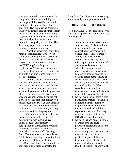with your counselor toward successful completion. If you are not doing well, the Judge will discuss this with you in court and determine further action. The goal of the DUI/Drug Court Program is to help you achieve total abstinence from illegal drugs and alcohol, and in doing so; prevent your future interaction with the criminal justice system, thus improving the quality of your life. The Judge may adjust your treatment program based on your progress.

Probation supervision consists of random, unannounced visits to your home, place of employment, treatment facility, or any other place deemed necessary to monitor compliance with the DUI/Drug Court Program requirements. Visits can be at anytime day or night and you will be required to submit to a breather and/or urinalysis test as requested.

Failure to appear in court on the date and time you are scheduled may result in a warrant being issued for your arrest. If you cannot appear in court as scheduled, you must notify the probation officer as soon as possible to explain why you cannot appear. If you are not excused by your probation officer, you must appear in court. If you are arrested for a new offense committed while on probation in DUI/Drug Court, you may be terminated from the program.

Other violations that could result in termination include consistently missing urinalysis tests, positive urinalysis tests, unsatisfactory participation in the treatment program, or violence or threats of violence directed at treatment staff, the Drug Court Team members, or other clients. All decisions regarding termination form the program will be made by the DUI/Drug Court Judge, with input from your probation officer, counselor, the

Drug Court Coordinator, the prosecuting attorney, and your appointed counsel.

#### **DUI / DRUG COURT RULES**

As a DUI/Drug Court participant, you will be required to abide by the following rules:

- 1. Attend all treatment sessions and support groups. This includes but is not limited to: individual counseling, group counseling, educational sessions, Narcotics Anonymous / Alcoholics Anonymous meetings, and/or other support group activities. If you are unable to attend a scheduled treatment session, you must contact your counselor at NASAS as soon as possible in order to obtain permission to be absent. Also, be on time. If you are late, you may not be allowed to attend, and you will be considered noncompliant. Contact your counselor if there is a possibility you may be late.
- 2. Do not make threats toward other participants or staff or behave in a violent manner. Violent or inappropriate behavior will be not be tolerated and will be reported to the court. This may result in termination from the DUI /Drug Court Program.
- 3. Do not bring any drugs, alcohol, or weapons to the court, probation department, or into the treatment center.
- 4. Dress appropriately for court and treatment sessions. As a participant, you will be expected to wear a shirt or blouse, pants, dress, or skirt of reasonable length. Shoes must be worn at all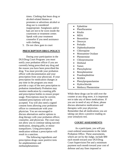times. Clothing that bears drug or alcohol-related themes or promotes or advertises alcohol or drug use is considered inappropriate. Sunglasses and/or hats are not to be worn inside the courtroom or treatment center. Speak with your treatment counselor if you need assistance with clothing.

5. Do not chew gum in court

#### **PRESCRIPTION DRUG POLICY**

During your participation in the DUI/Drug Court Program: you must notify your probation officer if you are currently being prescribed any drug and the reason you have been prescribed the drug. You must provide your probation officer with documentation and your prescription from your physician. If your prescription for medication changes at any time in the program you must provide a copy of the new prescription to probation immediately Probation may monitor medication by counting pills and prescription bottles to ensure proper usage. Prescriptions must be current; outdated prescriptions will not be accepted. You will also need a signed consent form allowing your probation officer to communicate with your physician. You are encouraged to discuss alternatives and/or options to drug therapy with your probation officer, counselor, and physician. The court may not allow you to continue taking narcotic medication, sleeping pills, or minor tranquilizers. Using prescription medication without a prescription will result in a sanction.

The following ingredients and prescription drugs cause positive tests for amphetamines and methamphetamines:

- Ephedrine
- Phenfluramine
- Ritalin
- MDA
- Benzedrine
- Desoxyn
- Preludin
- Diphenhydramine
- Chloroquine
- Monoamine Oxidase
- Phentermine
- Chlorpromazine
- Desbutal
- Xanax
- Phenylephrine
- Benzphetamine
- Psuedoephedrine
- MAMA

Ξ

- Phenylpropanolamine
- Hydrochloride
- Methoxy Phentermine

While these drugs can be sold over the counter at any drug store, it is important not to take any of these medications. If you are in need of any of these, please discuss alternative medications and therapies with your physician. Remember that all medications you are taking can show a positive reading on your urinalysis test.

#### **COURT ASSESSMENTS**

As a participant, you will pay court-ordered assessments to the Adult Probation Office. These assessments, which are set by the Judge, include \$90 each month toward your DUI/Drug Court Supervision Fee and a minimum payment each month toward your cost of defense and any fines imposed or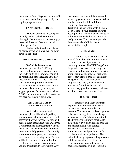restitution ordered. Payment records will be reported to the Judge as part of your regular progress report.

#### **PAYMENT SCHEDULE**

All feeds and fines must be paid monthly. You may be held up form phasing in the program if you do not pay these. All fines and fees must be paid before graduation.

Additionally, travel requests may be denied if you are not current on your payment schedule.

#### **TREATMENT PROCEDURES**

NASAS is the contracted treatment provider for DUI/Drug Court. Following your acceptance into the DUI/Drug Court Program, you will be responsible for scheduling your first meeting with NASAS. The DUI/Drug Court treatment program includes assessment, IOP treatment sessions and treatment plans, urinalysis tests, and support groups. The treatment provider, NASAS, determines when IOP treatment has been successfully completed.

#### **ASSESSMENT AND TREATMENT PLANS**

An initial assessment and treatment plan will be developed by you and your counselor following an overall assessment of your needs. The plan will act as a guide throughout your DUI/Drug Court treatment. The treatment plan will identify issues that need to be addressed in treatment, help you set goals, identify ways to attain the goals, and develop target dates for achieving them. The plan will be kept in your treatment file for regular review and necessary updates as you progress through the program. Any

revisions to the plan will be made and signed by you and your counselor. When you have completed the minimum requirements of each phase the Treatment Liaison will update the Drug Court Team on your progress towards accomplishing treatment goals. The team will then decide whether or not you are ready to phase. The treatment provider determines when IOP has been successfully completed.

#### **URINALYSIS**

You will be tested for drugs and alcohol throughout the entire treatment program. The urinalysis tests are randomly ordered. The DUI/Drug Court Judge will have access to all drug test results, including any failures to provide a urine sample. The judge or probation officer may order a drug test at anytime. The goal of the DUI/Drug Court Program is to help you achieve total abstinence from illegal drugs and alcohol. Any positive, missed, or diluted specimen may result in a sanction.

#### **COUNSELING**

Intensive outpatient treatment requires a few individual counseling sessions and many group therapy sessions. The treatment utilizes cognitive behavioral therapy in order to change actions by changing the way you think. The treatment program is designed to give skills to avoid alcohol and drug use and maintain long-term sobriety. Successful recovery can decrease or eliminate your legal problems, health problems, and social problems. The individual and group counseling sessions will help you address problems and create solutions. Your attendance at counseling sessions will be reported to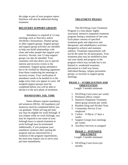the judge as part of your progress report. Nutrition will also be addressed during treatment.

## **RECOVERY SUPPORT GROUPS**

Attendance is required at 12-step meetings such as Narcotics and/or Alcoholics Anonymous, Alumni group, or other support groups. Support groups and support group activities are intended to help you build relationships with clean and sober people that support your recovery. Secular, non 12-step support groups can also be attended. Your counselor will also direct you to special interest and recovery events in the community. Support group attendance has to be verified by obtaining signatures from those conducting the meetings or recovery events. Your verification of attendance needs to be handed in to the judge every time you appear in court. All assigned support groups must be completed before you will be able to advance to the next phase of treatment.

#### **MANDATORY JAIL TIME**

Some offenses require mandatory jail sentences (DUIs). All mandatory jail sentences must be completed before you can graduate. While serving jail time, you may be eligible for work furlough. If you relapse while on work furlough, you may be required to use some of your furlough hours to attend treatment or work furlough may be terminated. Additionally, if you postpone your mandatory sentence after starting the program and are sanctioned for a violation of the program requirements, the team may require you to serve your jail time immediately.

### **TREATMENT PHASES**

The DUI/Drug Court Treatment Program is a four-phase, highly structured, intensive outpatient treatment program lasting a minimum of one year. Each phase consists of specified treatment goals and objectives and therapeutic and rehabilitative activities designed to achieve and maintain sobriety. Treatment requirements will not be the same for all participants. Your treatment plan may be modified to best suit your needs and progress in the program which may include but is not limited to: residential treatment, placement in a half-way house, individual therapy, relapse prevention groups, or increase in support group meetings.

# **PHASE 1 – STABILIZATION AND ORIENTATION**

Length: 3 months minimum

- 1. DUI/Drug Court (once per week)
- 2. Probation officer contact
- 3. Intensive Outpatient Treatment (three group sessions per week)
- 4. Random Drug and Alcohol Tests
- 5. Community Service if not employed
- 6. Curfew 9:30p.m. (7 days a week)
- 7. Support Groups (two meetings per week)
- 8. Ancillary Services as assigned

# **PHASE 2 – INTENSIVE TREATMENT**

Length: 3 months minimum

1. DUI/Drug Court (twice per month)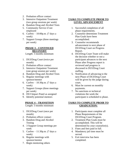- 2. Probation officer contact
- 3. Intensive Outpatient Treatment (two group sessions per week)
- 4. Random Drug and Alcohol Tests
- 5. Community Service if not employed
- 6. Curfew 10:00p.m. (7 days a week)
- 7. Support Groups (three meetings per week)

#### **PHASE 3 – CONTINUED RECOVERY**

Length: 3 months minimum

- 1. DUI/Drug Court (twice per month)
- 2. Probation officer contact
- 3. Intensive Outpatient Treatment (one group session per week)
- 4. Random Drug and Alcohol Tests
- 5. Regular meetings with sponsor/mentor
- 6. Curfew 10:30p.m. (7 days a week)
- 7. Support Groups (three meetings per week)
- 8. DUI Impact Panel as assigned
- 9. Identify potential mentors

# **PHASE 4 – TRANSITION**

Length: 3 months minimum

- 1. DUI/Drug Court (once per month)
- 2. Probation officer contact
- 3. Random Drug and Alcohol Testing
- 4. 3 Support Group meetings per week
- 5. Curfew 11:30p.m. (7 days a week)
- 6. Regular meetings with sponsor/mentor
- 7. Begin mentoring others

# **TASKS TO COMPLETE PRIOR TO LEVEL ADVANCEMENT**

- 1. Successful completion of all phase requirements.
- 2. Counselor determines Treatment Plan Goals have been accomplished.
- 3. Counselor recommends advancement to next phase of DUI/Drug Court on Progress Report.
- 4. DUI/Drug Court Team will make the decision whether or not a participant advances to the next Phase after Progress report is reviewed and progress is discussed in DUI/Drug Court staffing.
- 5. Notification of advancing to the next Phase of DUI/Drug Court will be given by the judge during court.
- 6. Must be current on monthly payments.
- 7. No sanctions or technical violations the week the participant is scheduled to phase.

# **TASKS TO COMPLETE PROIR TO GRADUATION:**

- 1. Participants must complete all Phase Requirements of the DUI/Drug Court Program.
- 2. Treatment Plan Goals must be accomplished. This will be determined by your counselor(s).
- 3. Fines and fees paid in full.
- 4. Mandatory jail time must be served.
- 5. Exit interview has been completed.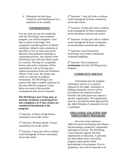6. Defendant has had clean Urinalysis and breathalyzers for a minimum of six months.

# **CONSEQUENCES**

If at any time you are not complying with the DUI/Drug Court treatment program, you will be assigned a court date to report to the judge. Noncompliance includes positive or diluted urinalyses, failure to take urinalyses as specified, or two or more unexcused absences from probation meetings or counseling sessions. Any absence from DUI/Drug Court will most likely result in a warrant. Driving on a suspended license and curfew violations will be sanctioned as well as leaving town without permission from your Probation Officer or the Court. Re-arrests may result in a sanction or program termination. The DUI/Drug Court reserves the right to modify sanctions for the most effective response. Listed below are some of the possible consequences that may be imposed:

# **The DUI/Drug Court Team may, at anytime, terminate a participant for non-compliance or if your actions are considered detrimental to the program.**

1 st Sanction: 24 hours jail **or** 8 hours community service **or** curfew.

2 nd Sanction: 48 hours jail **or** 12 hours community service **or** curfew.

 $3<sup>rd</sup>$  Sanction: 5 days jail with or without work furlough **or** 16 hours community service **or** curfew.

4<sup>th</sup> Sanction: 7 days jail with or without work furlough **or** 24 hours community service **or** curfew.

5<sup>th</sup> Sanction: 10 days jail with or without work furlough **or** 32 hours community service **or** phase extension **or** curfew.

6<sup>th</sup> Sanction: 14 days jail with or without work furlough **or** 40 hours community service **or** phase extension **or** curfew.

7<sup>th</sup> Sanction: Case reviewed by DUI/Drug Court Team to determine continued eligibility.

8<sup>th</sup> Sanction: Non-compliance; **termination** from the DUI/Drug Court Program.

# **COMMUNITY SERVICE**

Participants may be assigned community service as a sanction imposed by the judge. Assistance in finding community service will be provided by the probation officer; however, the participant may request a specific organization. The organization must be a site that has been approved by the Adult Probation Community Service Coordinator.

# **EDUCATION, VOCATION AND EMPLOYMENT PROGRAMS**

Recovery from substance addiction means developing self-reliance and becoming a productive, responsible individual of society. The DUI/Drug Court Program requires full time employment or education. A part-time job and student status will satisfy program requirements while participating in the program. Prior to graduation, you will be expected to be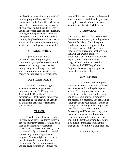involved in an educational or vocational training program if needed. Your counselor or probation officer will work to assist you in obtaining an assessment of your needs and skills and will refer you to the proper agencies for education, training and job placement. If you are unemployed or not a full-time student you may be placed on formal job search and/or required to complete community service until employment is obtained.

#### **SOCIAL SERVICES**

Upon your entry into the DUI/Drug Court Program, your counselor or your probation officer will assess your housing, transportation, family and general living needs and when appropriate, refer you to a city, county, or state agency for assistance.

#### **CONFIDENTIALITY**

You will be asked to sign a statement releasing appropriate information to the DUI/Drug Court Judge and the Drug Court Team members. An identification number will be assigned to you that will be used in all evaluation activities to safeguard your identity.

#### **TRAVEL**

Travel is a privilege not a right. In Phase 1, no travel is allowed unless a serious emergency arises. Travel is often used as an incentive for sustained sobriety and progress in Phases 2, 3, and 4. You will only be allowed to travel if you are in good standing with the program. Any overnight travel requests must be turned in to probation by 5:00p.m. the Tuesday prior to court. If you are given permission to travel you

must call Probation before you leave and when you return. Additionally, you may be required to make arrangements to submit a urinalysis test while on travel.

## **GRADUATION**

Once you have successfully completed the treatment program, you will graduate from the DUI/Drug Court Program. Graduation from the program will be determined by the DUI/Drug Court Judge *only* with recommendations from the DUI/Drug Court Team. At graduation, your family will be invited to join you in court as the judge congratulates you for successfully completing the DUI/Drug Court Program and achieving your goal to establish a drug-free life.

#### **CONCLUSION**

The DUI/Drug Court Program has been developed to help you achieve total abstinence from illegal drugs and alcohol. The program is designed to promote self-sufficiency and to return you to the community as a productive and responsible member. The program is voluntary and is your personal choice to participate. The Judge, DUI/Drug Court Coordinator, the court staff, the Prosecuting and Defense attorneys, your treatment counselor, and Probation Officer are present to guide and assist you, but the final responsibility is yours. You must be motivated to make this change and to commit to a drug-free life.

Good Luck to you!